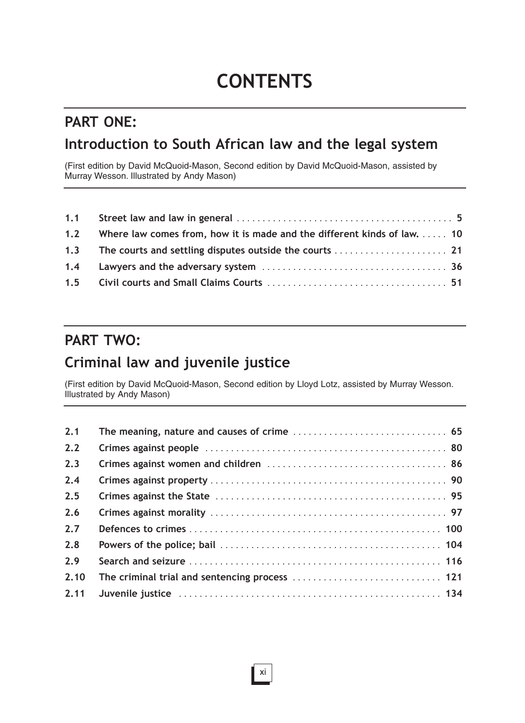# **CONTENTS**

## **PART ONE:**

### **Introduction to South African law and the legal system**

(First edition by David McQuoid-Mason, Second edition by David McQuoid-Mason, assisted by Murray Wesson. Illustrated by Andy Mason)

| 1.2 Where law comes from, how it is made and the different kinds of law.  10 |  |
|------------------------------------------------------------------------------|--|
|                                                                              |  |
|                                                                              |  |
|                                                                              |  |

### **PART TWO:**

## **Criminal law and juvenile justice**

(First edition by David McQuoid-Mason, Second edition by Lloyd Lotz, assisted by Murray Wesson. Illustrated by Andy Mason)

| 2.1  |  |
|------|--|
| 2.2  |  |
| 2.3  |  |
| 2.4  |  |
| 2.5  |  |
| 2.6  |  |
| 2.7  |  |
| 2.8  |  |
| 2.9  |  |
| 2.10 |  |
| 2.11 |  |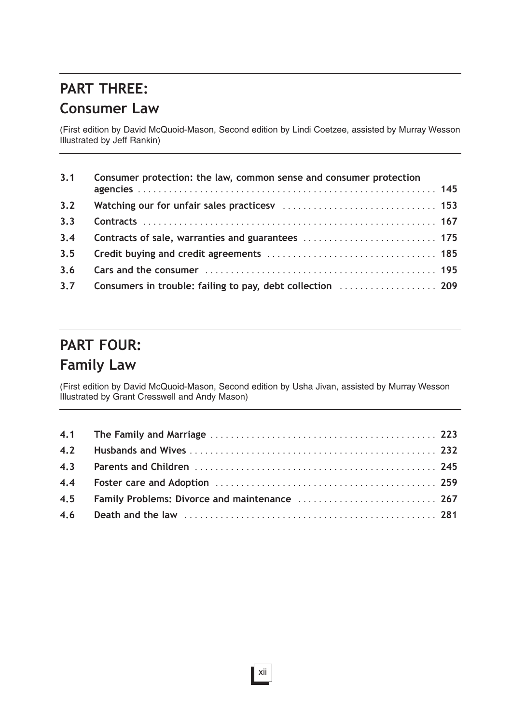# **PART THREE: Consumer Law**

(First edition by David McQuoid-Mason, Second edition by Lindi Coetzee, assisted by Murray Wesson Illustrated by Jeff Rankin)

| 3.1 | Consumer protection: the law, common sense and consumer protection |  |
|-----|--------------------------------------------------------------------|--|
|     |                                                                    |  |
|     |                                                                    |  |
| 3.3 |                                                                    |  |
| 3.4 |                                                                    |  |
|     |                                                                    |  |
| 3.6 |                                                                    |  |
|     | 3.7 Consumers in trouble: failing to pay, debt collection  209     |  |

## **PART FOUR: Family Law**

(First edition by David McQuoid-Mason, Second edition by Usha Jivan, assisted by Murray Wesson Illustrated by Grant Cresswell and Andy Mason)

| 4.5 Family Problems: Divorce and maintenance  267 |  |
|---------------------------------------------------|--|
|                                                   |  |